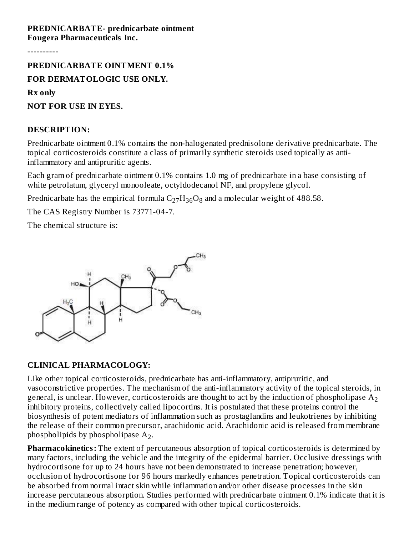#### **PREDNICARBATE- prednicarbate ointment Fougera Pharmaceuticals Inc.**

----------

#### **PREDNICARBATE OINTMENT 0.1%**

## **FOR DERMATOLOGIC USE ONLY.**

**Rx only**

**NOT FOR USE IN EYES.**

#### **DESCRIPTION:**

Prednicarbate ointment 0.1% contains the non-halogenated prednisolone derivative prednicarbate. The topical corticosteroids constitute a class of primarily synthetic steroids used topically as antiinflammatory and antipruritic agents.

Each gram of prednicarbate ointment 0.1% contains 1.0 mg of prednicarbate in a base consisting of white petrolatum, glyceryl monooleate, octyldodecanol NF, and propylene glycol.

Prednicarbate has the empirical formula  $\rm{C}_{27}\rm{H}_{36}\rm{O}_{8}$  and a molecular weight of 488.58.

The CAS Registry Number is 73771-04-7.

The chemical structure is:



## **CLINICAL PHARMACOLOGY:**

Like other topical corticosteroids, prednicarbate has anti-inflammatory, antipruritic, and vasoconstrictive properties. The mechanism of the anti-inflammatory activity of the topical steroids, in general, is unclear. However, corticosteroids are thought to act by the induction of phospholipase  $\rm A_{2}$ inhibitory proteins, collectively called lipocortins. It is postulated that these proteins control the biosynthesis of potent mediators of inflammation such as prostaglandins and leukotrienes by inhibiting the release of their common precursor, arachidonic acid. Arachidonic acid is released from membrane phospholipids by phospholipase  $A_2$ .

**Pharmacokinetics:** The extent of percutaneous absorption of topical corticosteroids is determined by many factors, including the vehicle and the integrity of the epidermal barrier. Occlusive dressings with hydrocortisone for up to 24 hours have not been demonstrated to increase penetration; however, occlusion of hydrocortisone for 96 hours markedly enhances penetration. Topical corticosteroids can be absorbed from normal intact skin while inflammation and/or other disease processes in the skin increase percutaneous absorption. Studies performed with prednicarbate ointment 0.1% indicate that it is in the medium range of potency as compared with other topical corticosteroids.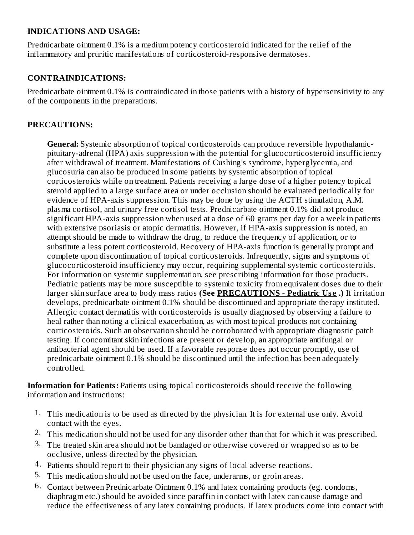## **INDICATIONS AND USAGE:**

Prednicarbate ointment 0.1% is a medium potency corticosteroid indicated for the relief of the inflammatory and pruritic manifestations of corticosteroid-responsive dermatoses.

## **CONTRAINDICATIONS:**

Prednicarbate ointment 0.1% is contraindicated in those patients with a history of hypersensitivity to any of the components in the preparations.

# **PRECAUTIONS:**

**General:** Systemic absorption of topical corticosteroids can produce reversible hypothalamicpituitary-adrenal (HPA) axis suppression with the potential for glucocorticosteroid insufficiency after withdrawal of treatment. Manifestations of Cushing's syndrome, hyperglycemia, and glucosuria can also be produced in some patients by systemic absorption of topical corticosteroids while on treatment. Patients receiving a large dose of a higher potency topical steroid applied to a large surface area or under occlusion should be evaluated periodically for evidence of HPA-axis suppression. This may be done by using the ACTH stimulation, A.M. plasma cortisol, and urinary free cortisol tests. Prednicarbate ointment 0.1% did not produce significant HPA-axis suppression when used at a dose of 60 grams per day for a week in patients with extensive psoriasis or atopic dermatitis. However, if HPA-axis suppression is noted, an attempt should be made to withdraw the drug, to reduce the frequency of application, or to substitute a less potent corticosteroid. Recovery of HPA-axis function is generally prompt and complete upon discontinuation of topical corticosteroids. Infrequently, signs and symptoms of glucocorticosteroid insufficiency may occur, requiring supplemental systemic corticosteroids. For information on systemic supplementation, see prescribing information for those products. Pediatric patients may be more susceptible to systemic toxicity from equivalent doses due to their larger skin surface area to body mass ratios **(See PRECAUTIONS - Pediatric Us e .)** If irritation develops, prednicarbate ointment 0.1% should be discontinued and appropriate therapy instituted. Allergic contact dermatitis with corticosteroids is usually diagnosed by observing a failure to heal rather than noting a clinical exacerbation, as with most topical products not containing corticosteroids. Such an observation should be corroborated with appropriate diagnostic patch testing. If concomitant skin infections are present or develop, an appropriate antifungal or antibacterial agent should be used. If a favorable response does not occur promptly, use of prednicarbate ointment 0.1% should be discontinued until the infection has been adequately controlled.

**Information for Patients:** Patients using topical corticosteroids should receive the following information and instructions:

- 1. This medication is to be used as directed by the physician. It is for external use only. Avoid contact with the eyes.
- 2. This medication should not be used for any disorder other than that for which it was prescribed.
- 3. The treated skin area should not be bandaged or otherwise covered or wrapped so as to be occlusive, unless directed by the physician.
- 4. Patients should report to their physician any signs of local adverse reactions.
- 5. This medication should not be used on the face, underarms, or groin areas.
- 6. Contact between Prednicarbate Ointment 0.1% and latex containing products (eg. condoms, diaphragm etc.) should be avoided since paraffin in contact with latex can cause damage and reduce the effectiveness of any latex containing products. If latex products come into contact with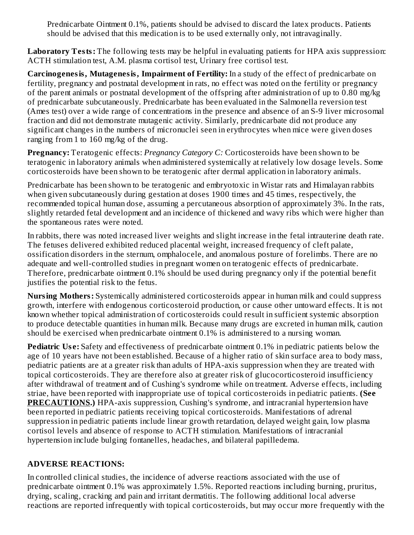Prednicarbate Ointment 0.1%, patients should be advised to discard the latex products. Patients should be advised that this medication is to be used externally only, not intravaginally.

**Laboratory Tests:** The following tests may be helpful in evaluating patients for HPA axis suppression: ACTH stimulation test, A.M. plasma cortisol test, Urinary free cortisol test.

**Carcinogenesis, Mutagenesis, Impairment of Fertility:** In a study of the effect of prednicarbate on fertility, pregnancy and postnatal development in rats, no effect was noted on the fertility or pregnancy of the parent animals or postnatal development of the offspring after administration of up to 0.80 mg/kg of prednicarbate subcutaneously. Prednicarbate has been evaluated in the Salmonella reversion test (Ames test) over a wide range of concentrations in the presence and absence of an S-9 liver microsomal fraction and did not demonstrate mutagenic activity. Similarly, prednicarbate did not produce any significant changes in the numbers of micronuclei seen in erythrocytes when mice were given doses ranging from 1 to 160 mg/kg of the drug.

**Pregnancy:** Teratogenic effects: *Pregnancy Category C:* Corticosteroids have been shown to be teratogenic in laboratory animals when administered systemically at relatively low dosage levels. Some corticosteroids have been shown to be teratogenic after dermal application in laboratory animals.

Prednicarbate has been shown to be teratogenic and embryotoxic in Wistar rats and Himalayan rabbits when given subcutaneously during gestation at doses 1900 times and 45 times, respectively, the recommended topical human dose, assuming a percutaneous absorption of approximately 3%. In the rats, slightly retarded fetal development and an incidence of thickened and wavy ribs which were higher than the spontaneous rates were noted.

In rabbits, there was noted increased liver weights and slight increase in the fetal intrauterine death rate. The fetuses delivered exhibited reduced placental weight, increased frequency of cleft palate, ossification disorders in the sternum, omphalocele, and anomalous posture of forelimbs. There are no adequate and well-controlled studies in pregnant women on teratogenic effects of prednicarbate. Therefore, prednicarbate ointment 0.1% should be used during pregnancy only if the potential benefit justifies the potential risk to the fetus.

**Nursing Mothers:** Systemically administered corticosteroids appear in human milk and could suppress growth, interfere with endogenous corticosteroid production, or cause other untoward effects. It is not known whether topical administration of corticosteroids could result in sufficient systemic absorption to produce detectable quantities in human milk. Because many drugs are excreted in human milk, caution should be exercised when prednicarbate ointment 0.1% is administered to a nursing woman.

**Pediatric** Use: Safety and effectiveness of prednicarbate ointment 0.1% in pediatric patients below the age of 10 years have not been established. Because of a higher ratio of skin surface area to body mass, pediatric patients are at a greater risk than adults of HPA-axis suppression when they are treated with topical corticosteroids. They are therefore also at greater risk of glucocorticosteroid insufficiency after withdrawal of treatment and of Cushing's syndrome while on treatment. Adverse effects, including striae, have been reported with inappropriate use of topical corticosteroids in pediatric patients. **(See PRECAUTIONS.)** HPA-axis suppression, Cushing's syndrome, and intracranial hypertension have been reported in pediatric patients receiving topical corticosteroids. Manifestations of adrenal suppression in pediatric patients include linear growth retardation, delayed weight gain, low plasma cortisol levels and absence of response to ACTH stimulation. Manifestations of intracranial hypertension include bulging fontanelles, headaches, and bilateral papilledema.

# **ADVERSE REACTIONS:**

In controlled clinical studies, the incidence of adverse reactions associated with the use of prednicarbate ointment 0.1% was approximately 1.5%. Reported reactions including burning, pruritus, drying, scaling, cracking and pain and irritant dermatitis. The following additional local adverse reactions are reported infrequently with topical corticosteroids, but may occur more frequently with the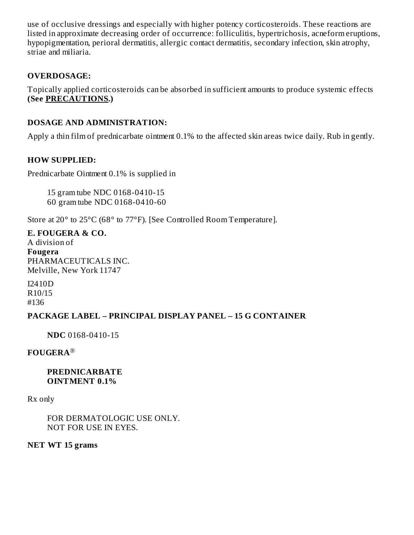use of occlusive dressings and especially with higher potency corticosteroids. These reactions are listed in approximate decreasing order of occurrence: folliculitis, hypertrichosis, acneform eruptions, hypopigmentation, perioral dermatitis, allergic contact dermatitis, secondary infection, skin atrophy, striae and miliaria.

#### **OVERDOSAGE:**

Topically applied corticosteroids can be absorbed in sufficient amounts to produce systemic effects **(See PRECAUTIONS.)**

#### **DOSAGE AND ADMINISTRATION:**

Apply a thin film of prednicarbate ointment 0.1% to the affected skin areas twice daily. Rub in gently.

#### **HOW SUPPLIED:**

Prednicarbate Ointment 0.1% is supplied in

15 gram tube NDC 0168-0410-15 60 gram tube NDC 0168-0410-60

Store at 20° to 25°C (68° to 77°F). [See Controlled Room Temperature].

**E. FOUGERA & CO.** A division of **Fougera** PHARMACEUTICALS INC. Melville, New York 11747

I2410D R10/15 #136

#### **PACKAGE LABEL – PRINCIPAL DISPLAY PANEL – 15 G CONTAINER**

**NDC** 0168-0410-15

### **FOUGERA** ®

#### **PREDNICARBATE OINTMENT 0.1%**

Rx only

FOR DERMATOLOGIC USE ONLY. NOT FOR USE IN EYES.

#### **NET WT 15 grams**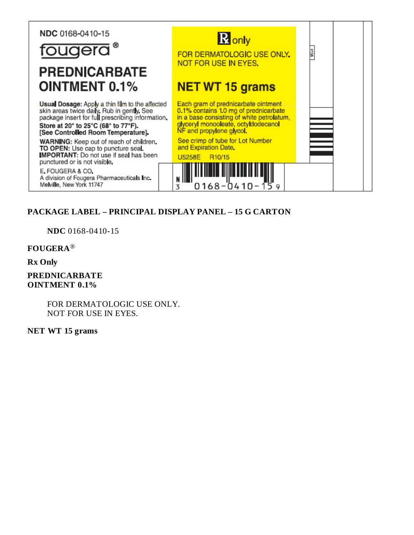| NDC 0168-0410-15<br>fougera <sup>®</sup><br><b>PREDNICARBATE</b><br><b>OINTMENT 0.1%</b>                                                                                                                                                                     | <b>R</b> only<br>FOR DERMATOLOGIC USE ONLY.<br>NOT FOR USE IN EYES.<br><b>NET WT 15 grams</b>                                                                                                | <b>SC1#</b> |  |
|--------------------------------------------------------------------------------------------------------------------------------------------------------------------------------------------------------------------------------------------------------------|----------------------------------------------------------------------------------------------------------------------------------------------------------------------------------------------|-------------|--|
| Usual Dosage: Apply a thin film to the affected<br>skin areas twice daily. Rub in gently. See<br>package insert for full prescribing information.<br>Store at 20° to 25°C (68° to 77°F).<br>[See Controlled Room Temperature].                               | Each gram of prednicarbate ointment<br>0.1% contains 1.0 mg of prednicarbate<br>in a base consisting of white petrolatum,<br>glyceryl monooleate, octyldodecanol<br>NF and propylene glycol. |             |  |
| WARNING: Keep out of reach of children.<br>TO OPEN: Use cap to puncture seal.<br><b>IMPORTANT:</b> Do not use if seal has been<br>punctured or is not visible.<br>E. FOUGERA & CO.<br>A division of Fougera Pharmaceuticals Inc.<br>Melville, New York 11747 | See crimp of tube for Lot Number<br>and Expiration Date.<br>U5258E<br>R <sub>10</sub> /15<br>$0168 - 0410 - 159$                                                                             |             |  |

## **PACKAGE LABEL – PRINCIPAL DISPLAY PANEL – 15 G CARTON**

**NDC** 0168-0410-15

**FOUGERA** ®

**Rx Only**

**PREDNICARBATE OINTMENT 0.1%**

> FOR DERMATOLOGIC USE ONLY. NOT FOR USE IN EYES.

**NET WT 15 grams**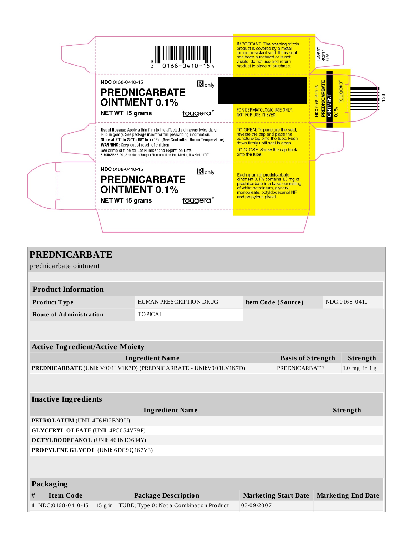| $0.168 - 0.410 -$<br>₹                                                                                                                                                                                                                                                                                                                                                                                                        | <b>IMPORTANT: The opening of this</b><br>product is covered by a metal<br>tamper-resistant seal. If this seal<br>has been punctured or is not<br>visible, do not use and return<br>product to place of purchase. | IU5258E<br>R02/17<br>#136                                                             |
|-------------------------------------------------------------------------------------------------------------------------------------------------------------------------------------------------------------------------------------------------------------------------------------------------------------------------------------------------------------------------------------------------------------------------------|------------------------------------------------------------------------------------------------------------------------------------------------------------------------------------------------------------------|---------------------------------------------------------------------------------------|
| NDC 0168-0410-15<br>$\mathbf R$ only<br><b>PREDNICARBATE</b><br><b>OINTMENT 0.1%</b><br><b>NET WT 15 grams</b><br><u>fougera®</u>                                                                                                                                                                                                                                                                                             | FOR DERMATOLOGIC USE ONLY.<br>NOT FOR USE IN EYES.                                                                                                                                                               | PREDNICARBATE<br><u>puebno</u> .<br>NDC 0168-0410-15<br>86<br><b>OINTMENT</b><br>0.1% |
| Usual Dosage: Apply a thin film to the affected skin areas twice daily.<br>Rub in gently. See package insert for full prescribing information.<br>Store at 20° to 25°C (68° to 77°F). [See Controlled Room Temperature].<br><b>WARNING:</b> Keep out of reach of children.<br>See crimp of tube for Lot Number and Expiration Date.<br>E. FOUGERA & CO., A division of Fougera Pharmaceuticals Inc., Melville, New York 11747 | TO OPEN: To puncture the seal,<br>reverse the cap and place the<br>puncture-top onto the tube. Push<br>down firmly until seal is open.<br>TO CLOSE: Screw the cap back<br>onto the tube.                         |                                                                                       |
| NDC 0168-0410-15<br>$\mathbf R$ only<br><b>PREDNICARBATE</b><br><b>OINTMENT 0.1%</b><br><b>NET WT 15 grams</b><br>foudera                                                                                                                                                                                                                                                                                                     | Each gram of prednicarbate<br>ointment 0.1% contains 1.0 mg of<br>prednicarbate in a base consisting<br>of white petrolatum, glyceryl<br>monooleate, octyldodecanol NF<br>and propylene givcol.                  |                                                                                       |
|                                                                                                                                                                                                                                                                                                                                                                                                                               |                                                                                                                                                                                                                  |                                                                                       |

|                                                                    | prednicarbate ointment                 |  |                                                   |                             |                   |                 |                           |
|--------------------------------------------------------------------|----------------------------------------|--|---------------------------------------------------|-----------------------------|-------------------|-----------------|---------------------------|
|                                                                    |                                        |  |                                                   |                             |                   |                 |                           |
|                                                                    | <b>Product Information</b>             |  |                                                   |                             |                   |                 |                           |
|                                                                    | Product Type                           |  | HUMAN PRESCRIPTION DRUG                           | Item Code (Source)          |                   |                 | NDC:0168-0410             |
|                                                                    | <b>Route of Administration</b>         |  | <b>TOPICAL</b>                                    |                             |                   |                 |                           |
|                                                                    |                                        |  |                                                   |                             |                   |                 |                           |
|                                                                    | <b>Active Ingredient/Active Moiety</b> |  |                                                   |                             |                   |                 |                           |
|                                                                    | <b>Ingredient Name</b>                 |  |                                                   | <b>Basis of Strength</b>    |                   | <b>Strength</b> |                           |
| PREDNICARBATE (UNII: V901LV1K7D) (PREDNICARBATE - UNII:V901LV1K7D) |                                        |  | <b>PREDNICARBATE</b>                              |                             | $1.0$ mg in $1$ g |                 |                           |
|                                                                    |                                        |  |                                                   |                             |                   |                 |                           |
|                                                                    | <b>Inactive Ingredients</b>            |  |                                                   |                             |                   |                 |                           |
| <b>Ingredient Name</b>                                             |                                        |  |                                                   | Strength                    |                   |                 |                           |
| PETROLATUM (UNII: 4T6H12BN9U)                                      |                                        |  |                                                   |                             |                   |                 |                           |
| <b>GLYCERYL OLEATE (UNII: 4PC054V79P)</b>                          |                                        |  |                                                   |                             |                   |                 |                           |
| O CTYLDO DECANOL (UNII: 46 1N10614Y)                               |                                        |  |                                                   |                             |                   |                 |                           |
|                                                                    | PROPYLENE GLYCOL (UNII: 6DC9Q167V3)    |  |                                                   |                             |                   |                 |                           |
|                                                                    |                                        |  |                                                   |                             |                   |                 |                           |
|                                                                    |                                        |  |                                                   |                             |                   |                 |                           |
| <b>Packaging</b>                                                   |                                        |  |                                                   |                             |                   |                 |                           |
| #                                                                  | <b>Item Code</b>                       |  | <b>Package Description</b>                        | <b>Marketing Start Date</b> |                   |                 | <b>Marketing End Date</b> |
|                                                                    | 1 NDC:0168-0410-15                     |  | 15 g in 1 TUBE; Type 0: Not a Combination Product | 03/09/2007                  |                   |                 |                           |